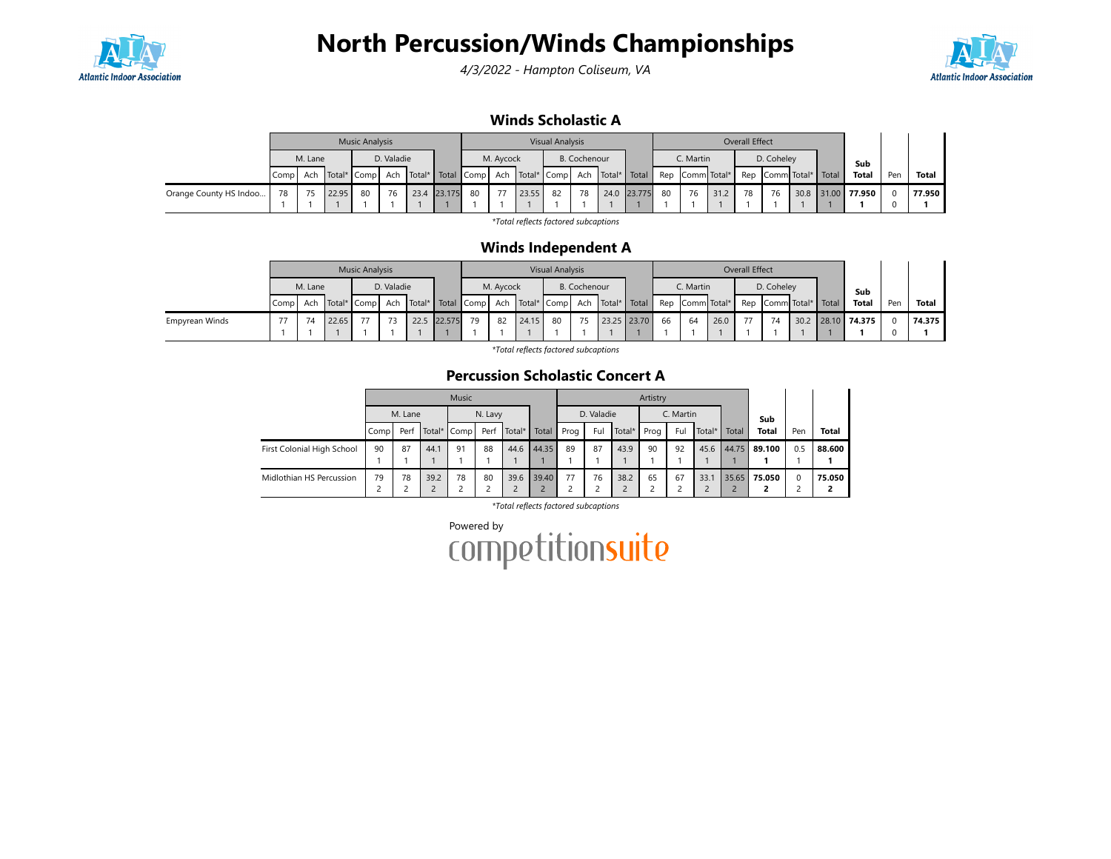

4/3/2022 - Hampton Coliseum, VA



### Winds Scholastic A

|                        |    |         |       | <b>Music Analysis</b> |            |      |        |    |           |       | <b>Visual Analysis</b> |              |                                                                                        |    |                 |      | Overall Effect |                        |  |                   |     |        |
|------------------------|----|---------|-------|-----------------------|------------|------|--------|----|-----------|-------|------------------------|--------------|----------------------------------------------------------------------------------------|----|-----------------|------|----------------|------------------------|--|-------------------|-----|--------|
|                        |    | M. Lane |       |                       | D. Valadie |      |        |    | M. Avcock |       |                        | B. Cochenour |                                                                                        |    | C. Martin       |      |                | D. Coheley             |  | Sub               |     |        |
|                        |    |         |       |                       |            |      |        |    |           |       |                        |              | Comp  Ach  Total* Comp  Ach  Total*  Total  Comp  Ach  Total* Comp  Ach  Total*  Total |    | Rep Comm Total* |      |                | Rep CommitTotal* Total |  | <b>Total</b>      | Pen | Total  |
| Orange County HS Indoo | 78 | 75      | 22.95 | 80                    | 76         | 23.4 | 23.175 | 80 | 77        | 23.55 | 82                     | 78           | 24.0 23.775                                                                            | 80 | 76              | 31.2 | 78             | 76                     |  | 30.8 31.00 77.950 |     | 77.950 |
|                        |    |         |       |                       |            |      |        |    |           |       |                        |              |                                                                                        |    |                 |      |                |                        |  |                   |     |        |

\*Total reflects factored subcaptions

#### Winds Independent A

|                |                                                                                                        |                       |       | <b>Music Analysis</b> |  |           |        |    |              |       | <b>Visual Analysis</b> |           |                 |    |            |                        | Overall Effect |              |     |                   |  |        |
|----------------|--------------------------------------------------------------------------------------------------------|-----------------------|-------|-----------------------|--|-----------|--------|----|--------------|-------|------------------------|-----------|-----------------|----|------------|------------------------|----------------|--------------|-----|-------------------|--|--------|
|                |                                                                                                        | D. Valadie<br>M. Lane |       |                       |  | M. Aycock |        |    | B. Cochenour |       |                        | C. Martin |                 |    | D. Coheley |                        | Sub            |              |     |                   |  |        |
|                | Ach   Total*   Comp   Ach   Total*   Total   Comp   Ach   Total*   Comp   Ach   Total*   Total<br>Comp |                       |       |                       |  |           |        |    |              |       |                        |           | Rep Comm Total* |    |            | Rep CommitTotal* Total |                | <b>Total</b> | Pen | Total             |  |        |
| Empyrean Winds |                                                                                                        | 74                    | 22.65 |                       |  | 22.5      | 22.575 | 79 | 82           | 24.15 | 80                     | 75        | 23.25 23.70     | 66 | 64         | 26.0                   |                | 74           |     | 30.2 28.10 74.375 |  | 74.375 |

\*Total reflects factored subcaptions

### Percussion Scholastic Concert A

|                            |      |         |      | Music       |         |                   |       |      |            |                            | Artistry |           |            |       |              |          |              |
|----------------------------|------|---------|------|-------------|---------|-------------------|-------|------|------------|----------------------------|----------|-----------|------------|-------|--------------|----------|--------------|
|                            |      | M. Lane |      |             | N. Lavy |                   |       |      | D. Valadie |                            |          | C. Martin |            |       | Sub          |          |              |
|                            | Comp | Perf    |      | Total* Comp |         | Perf Total* Total |       | Prog | Ful        | Total*                     | Prog     | Ful       | .   Total* | Total | <b>Total</b> | Pen      | <b>Total</b> |
| First Colonial High School | 90   | 87      | 44.1 | 91          | 88      | 44.6              | 44.35 | 89   | 87         | 43.9                       | 90       | 92        | 45.6       | 44.75 | 89.100       | 0.5      | 88.600       |
|                            |      |         |      |             |         |                   |       |      |            |                            |          |           |            |       |              |          |              |
| Midlothian HS Percussion   | 79   | 78      | 39.2 | 78          | 80      | 39.6              | 39.40 | 77   | 76         | 38.2<br>$\mathcal{D}$<br>c | 65       | 67        | 33.1       | 35.65 | 75.050       | $\Omega$ | 75.050       |

\*Total reflects factored subcaptions

Powered by<br>COMPETitionsuite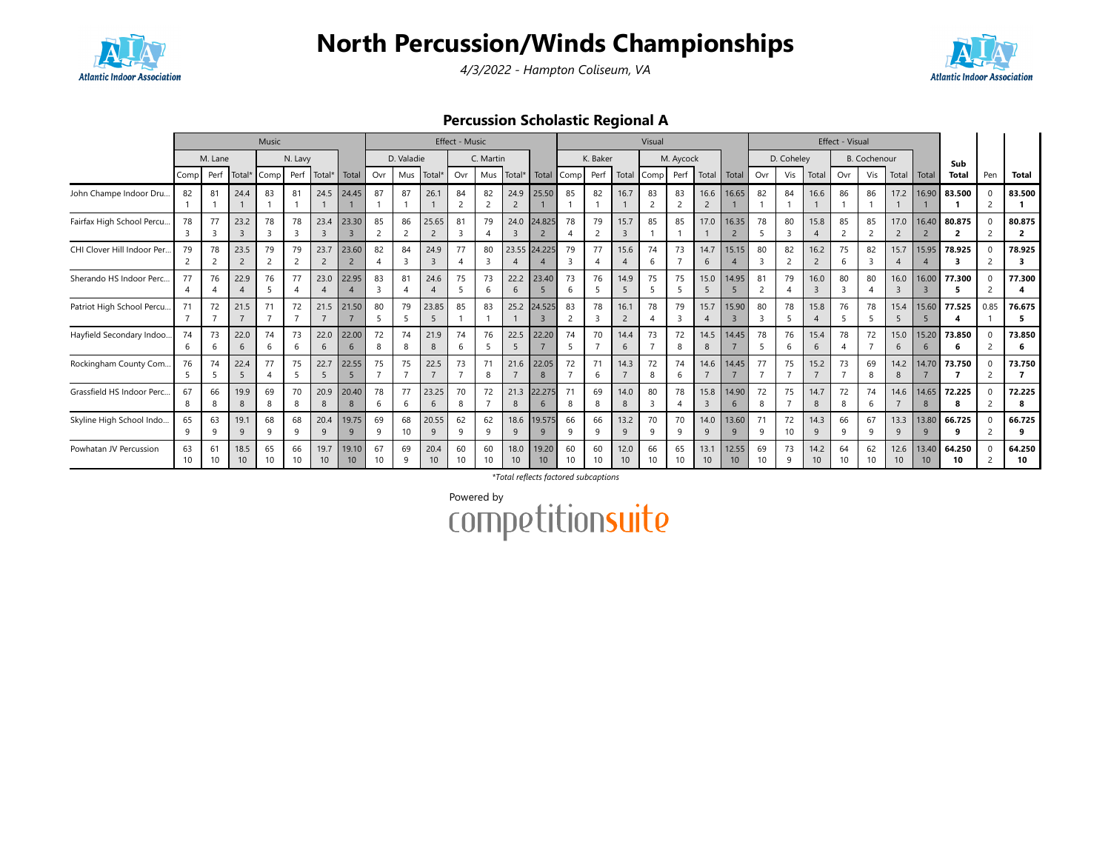





### Percussion Scholastic Regional A

|                             |          |                                |                        | Music                 |                       |                         |                          |                       |            |                         | Effect - Music       |                |            |                          |                       |                     |                         | Visual     |           |                        |                          |                       |                      |                         | Effect - Visual |              |                         |                          |                          |      |              |
|-----------------------------|----------|--------------------------------|------------------------|-----------------------|-----------------------|-------------------------|--------------------------|-----------------------|------------|-------------------------|----------------------|----------------|------------|--------------------------|-----------------------|---------------------|-------------------------|------------|-----------|------------------------|--------------------------|-----------------------|----------------------|-------------------------|-----------------|--------------|-------------------------|--------------------------|--------------------------|------|--------------|
|                             |          | M. Lane                        |                        |                       | N. Lavy               |                         |                          |                       | D. Valadie |                         |                      | C. Martin      |            |                          |                       | K. Baker            |                         |            | M. Aycock |                        |                          |                       | D. Coheley           |                         |                 | B. Cochenour |                         |                          | Sub                      |      |              |
|                             | Comp     | Perf                           | Total*                 | Comp                  | Perf                  | Total*                  | Total                    | Ovr                   | Mus        | Total <sup>®</sup>      | Ovr                  | Mus            | Total*     | Total                    | Comp                  | Perf                |                         | Total Comp | Perf      | Total                  | Total                    | Ovr                   | Vis                  | Total                   | Ovr             | Vis          | Total                   | Total                    | <b>Total</b>             | Pen  | <b>Total</b> |
| John Champe Indoor Dru      | 82       | 81                             | 24.4                   | 83                    | 81                    |                         | 24.5 24.45               | 87                    | 87         | 26.1                    | 84<br>$\overline{2}$ | 82<br>2        | 24.9       | 25.50                    | 85                    | 82                  | 16.7                    | 83<br>2    | 83        | 16.6<br>$\overline{2}$ | 16.65                    | 82                    | 84                   | 16.6                    | 86              | 86           | 17.2                    | 16.90                    | 83.500                   |      | 83.500       |
| Fairfax High School Percu.  | 78       | 77<br>$\overline{3}$           | 23.2<br>$\mathbf{R}$   | 78                    | 78<br>3               | 23.4<br>$\overline{3}$  | 23.30                    | 85                    | 86<br>2    | 25.65<br>$\overline{2}$ | 81<br>$\mathbf{R}$   | 79             | 24.0       | 24.825                   | 78                    | 79<br>$\mathcal{L}$ | 15.7<br>$\overline{3}$  | 85         | 85        | 17.0                   | 16.35<br>$\overline{2}$  | 78<br>5               | 80                   | 15.8                    | 85              | 85           | 17.0                    | 16.40                    | 80.875<br>$\overline{2}$ |      | 80.875       |
| CHI Clover Hill Indoor Per. | 79       | 78<br>$\overline{\phantom{a}}$ | 23.5                   | 79                    | 79<br>$\overline{c}$  | 23.7<br>$\overline{2}$  | 23.60                    | 82                    | 84<br>3    | 24.9<br>$\overline{3}$  | 77<br>$\overline{4}$ | 80<br>-3       |            | 23.55 24.225             | 79<br>3               | 77                  | 15.6                    | 74<br>6    | 73        | 14.7<br>6              | 15.15                    | 80<br>-3              | 82<br>$\overline{2}$ | 16.2<br>$\overline{2}$  | 75<br>6         | 82<br>3      | 15.7                    | 15.95                    | 78.925                   |      | 78.925       |
| Sherando HS Indoor Perc.    | 77       | 76                             | 22.9<br>$\overline{A}$ | 76                    | 77<br>$\Delta$        | 23.0                    | 22.95                    | 83<br>3               | 81<br>4    | 24.6<br>$\overline{A}$  | 75<br>-5             | 73<br>-6       | 22.2<br>6  | 23.40                    | 73<br>h               | 76                  | 14.9<br>-5              | 75         | 75        | 15.0<br>5              | 14.95                    | 81                    | 79                   | 16.0<br>$\overline{3}$  | 80<br>3         | 80           | 16.0                    | 16.00                    | 77.300                   |      | 77.300       |
| Patriot High School Percu   | 71       | 72                             | 21.5                   | 71                    | 72                    | 21.5                    | 21.50                    | 80                    | 79         | 23.85<br>-5             | 85                   | 83             | 25.2       | 24.525                   | 83                    | 78                  | 16.1<br>2               | 78         | 79        | 15.7<br>$\overline{4}$ | 15.90                    | 80                    | 78                   | 15.8                    | 76              | 78           | 15.4                    | 15.60                    | 77.525                   | 0.85 | 76.675<br>5. |
| Hayfield Secondary Indoo    | 74<br>6  | 73<br>-6                       | 22.0<br>6              | 74<br>6               | 73<br>$\epsilon$      | 22.0<br>6               | 22.00<br>6               | 72<br>8               | 74<br>8    | 21.9<br>8               | 74<br>-6             | 76             | 22.5       | 22.20                    | 74                    |                     | 14.4<br>6               | 73         | 72<br>8   | 14.5<br>8              | 14.45                    | 78<br>5               | 76<br>6              | 15.4<br>$\epsilon$      | 78              | 72           | 15.0<br>6               | 15.20<br>6               | 73.850<br>6              |      | 73.850<br>6  |
| Rockingham County Com.      | 76<br>-5 | 74<br>-5                       | 22.4<br>5              | 77                    | 75<br>-5              | 22.7<br>5               | 22.55                    | 75                    | 75         | 22.5<br>$\overline{7}$  | 73                   | 71<br>8        | 21.6       | 22.05<br>8               | 72                    | 6                   | 14.3                    | 72<br>8    | 74<br>6   | 14.6<br>$\overline{7}$ | 14.45                    | 77                    | 75                   | 15.2                    | 73              | 69<br>8      | 14.2<br>8               | 14.70                    | 73.750                   | 2    | 73.750       |
| Grassfield HS Indoor Perc.  | 67<br>8  | 66<br>8                        | 19.9<br>8              | 69<br>8               | 70<br>8               | 20.9<br>8               | 20.40<br>8               | 78<br>6               | 77<br>6    | 23.25<br>6              | 70<br>8              | 72             | 21.3<br>8  | 22.275<br>6              | 8                     | 69<br>8             | 14.0<br>8               | 80<br>3    | 78        | 15.8<br>$\overline{3}$ | 14.90<br>6               | 72<br>8               | 75                   | 14.7<br>8               | 72<br>8         | 74<br>6      | 14.6                    | 14.65<br>8               | 72.225<br>8              | 2    | 72.225<br>8  |
| Skyline High School Indo    | 65<br>q  | 63<br>$\circ$                  | 19.1<br>q              | 68<br>$\Omega$        | 68<br>q               | 20.4<br>9               | 19.75<br>$\mathsf{q}$    | 69<br>9               | 68<br>10   | 20.55<br>9              | 62<br>$\mathsf{q}$   | 62<br>$\alpha$ | 18.6<br>q  | 19.575                   | 66<br>a               | 66<br>q             | 13.2<br>9               | 70<br>9    | 70<br>a   | 14.0<br>9              | 13.60<br>9               | 71<br>q               | 72<br>10             | 14.3<br>$\alpha$        | 66<br>q         | 67<br>q      | 13.3<br>9               | 13.80<br>q               | 66.725<br>٩              |      | 66.725<br>٩  |
| Powhatan JV Percussion      | 63<br>10 | 61<br>10                       | 18.5<br>10             | 65<br>10 <sup>1</sup> | 66<br>10 <sup>2</sup> | 19.7<br>10 <sup>°</sup> | 19.10<br>10 <sup>1</sup> | 67<br>10 <sup>2</sup> | 69<br>9    | 20.4<br>10              | 60<br>10             | 60<br>10       | 18.0<br>10 | 19.20<br>10 <sup>°</sup> | 60<br>10 <sup>2</sup> | 60<br>10            | 12.0<br>10 <sup>°</sup> | 66<br>10   | 65<br>10  | 13.1<br>10             | 12.55<br>10 <sup>°</sup> | 69<br>10 <sup>1</sup> | 73<br>-9             | 14.2<br>10 <sup>1</sup> | 64<br>10        | 62           | 12.6<br>10 <sup>°</sup> | 13.40<br>10 <sup>°</sup> | 64.250<br>10             |      | 64.250<br>10 |

\*Total reflects factored subcaptions

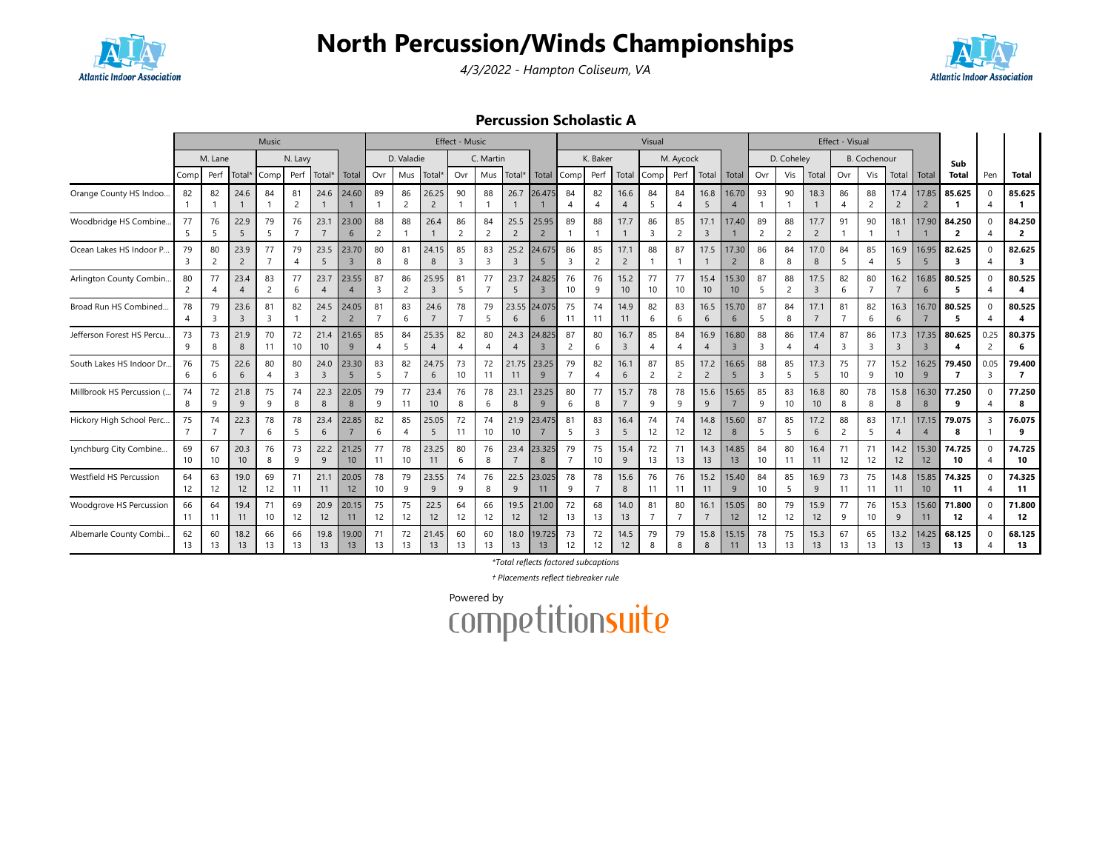





#### Percussion Scholastic A

|                            |          |                      |                        | Music                |                               |                          |                         |                             |                               |                         | Effect - Music              |                               |                               |                          |                      |                      |                        | Visual                |                      |                        |                          |                               |                      |                        | Effect - Visual               |                      |                        |                          |              |           |                          |
|----------------------------|----------|----------------------|------------------------|----------------------|-------------------------------|--------------------------|-------------------------|-----------------------------|-------------------------------|-------------------------|-----------------------------|-------------------------------|-------------------------------|--------------------------|----------------------|----------------------|------------------------|-----------------------|----------------------|------------------------|--------------------------|-------------------------------|----------------------|------------------------|-------------------------------|----------------------|------------------------|--------------------------|--------------|-----------|--------------------------|
|                            |          | M. Lane              |                        |                      | N. Lavy                       |                          |                         |                             | D. Valadie                    |                         |                             | C. Martin                     |                               |                          |                      | K. Baker             |                        |                       | M. Aycock            |                        |                          |                               | D. Coheley           |                        |                               | <b>B.</b> Cochenour  |                        |                          | Sub          |           |                          |
|                            | Comp     | Perf                 | Total*                 | Comp                 | Perf                          | Total*                   | Total                   | Ovr                         | Mus                           | Total*                  | Ovr                         | Mus                           | Total*                        | Total                    | l Compl              | Perf                 | Total                  | Comp                  | Perf                 | Total                  | Total                    | Ovr                           | Vis                  | Total                  | Ovr                           | Vis                  | Total                  | Total                    | <b>Total</b> | Pen       | <b>Total</b>             |
| Orange County HS Indoo     | 82       | 82                   | 24.6                   | 84                   | 81<br>$\overline{2}$          | 24.6                     | 24.60                   | 89                          | 86<br>$\overline{2}$          | 26.25<br>$\overline{2}$ | 90                          | 88                            | 26.7                          | 26.475                   | 84                   | 82                   | 16.6                   | 84<br>5               | 84<br>$\overline{4}$ | 16.8<br>5              | 16.70<br>$\overline{4}$  | 93                            | 90                   | 18.3                   | 86<br>4                       | 88<br>$\overline{2}$ | 17.4<br>$\overline{2}$ | 17.85                    | 85.625       | 0         | 85.625                   |
| Woodbridge HS Combine.     | 77<br>5  | 76<br>5              | 22.9<br>5              | 79<br>5              | 76<br>$\overline{7}$          | 23.1<br>$\overline{7}$   | 23.00<br>6              | 88<br>2                     | 88                            | 26.4<br>$\mathbf{1}$    | 86<br>2                     | 84<br>$\overline{c}$          | 25.5<br>$\overline{2}$        | 25.95<br>$\overline{2}$  | 89                   | 88                   | 17.7                   | 86<br>3               | 85<br>$\overline{2}$ | 17.1<br>$\overline{3}$ | 17.40                    | 89<br>$\overline{2}$          | 88<br>2              | 17.7<br>$\overline{2}$ | 91                            | 90                   | 18.1                   | 17.90                    | 84.250<br>2  |           | 84.250<br>2              |
| Ocean Lakes HS Indoor P.   | 79<br>3  | 80<br>$\overline{2}$ | 23.9<br>$\overline{2}$ | 77                   | 79<br>$\overline{4}$          | 23.5<br>5                | 23.70<br>$\overline{3}$ | 80<br>8                     | 81<br>8                       | 24.15<br>8              | 85<br>3                     | 83<br>$\overline{\mathbf{3}}$ | 25.2<br>$\overline{3}$        | 24.675                   | 86<br>$\overline{3}$ | 85<br>$\overline{2}$ | 17.1<br>$\overline{2}$ | 88                    | 87                   | 17.5<br>$\mathbf{1}$   | 17.30<br>$\overline{2}$  | 86<br>8                       | 84<br>8              | 17.0<br>8              | 84<br>5                       | 85<br>$\overline{A}$ | 16.9<br>5              | 16.95                    | 82.625<br>3  |           | 82.625<br>3              |
| Arlington County Combin.   | 80<br>2  | 77<br>$\overline{4}$ | 23.4<br>$\overline{4}$ | 83<br>2              | 77<br>6                       | 23.7<br>$\overline{4}$   | 23.55                   | 87<br>3                     | 86<br>$\overline{2}$          | 25.95<br>$\overline{3}$ | 81<br>5                     | 77<br>$\overline{7}$          | 23.7<br>5                     | 24.825<br>$\overline{3}$ | 76<br>10             | 76<br>9              | 15.2<br>10             | 77<br>10 <sup>°</sup> | 77<br>10             | 15.4<br>10             | 15.30<br>10 <sup>°</sup> | 87<br>5                       | 88<br>$\overline{2}$ | 17.5<br>$\overline{3}$ | 82<br>6                       | 80<br>$\overline{7}$ | 16.2<br>$\overline{7}$ | 16.85<br>6               | 80.525<br>5  |           | 80.525<br>4              |
| Broad Run HS Combined.     | 78       | 79<br>3              | 23.6<br>$\overline{3}$ | 81<br>$\overline{3}$ | 82                            | 24.5<br>$\overline{2}$   | 24.05<br>$\overline{2}$ | 81<br>$\overline{7}$        | 83<br>6                       | 24.6<br>$\overline{7}$  | 78<br>$\overline{7}$        | 79<br>5                       | 23.55<br>6                    | 24.075<br>6              | 75<br>11             | 74<br>11             | 14.9<br>11             | 82<br>6               | 83<br>6              | 16.5<br>6              | 15.70<br>6               | 87<br>5                       | 84<br>8              | 17.1<br>$\overline{7}$ | 81<br>$\overline{7}$          | 82<br>6              | 16.3<br>6              | 16.70                    | 80.525<br>5  |           | 80.525<br>4              |
| Jefferson Forest HS Percu. | 73<br>9  | 73<br>8              | 21.9<br>8              | 70<br>11             | 72<br>10                      | 21.4<br>10 <sup>10</sup> | 21.65<br>9              | 85<br>$\boldsymbol{\Delta}$ | 84<br>5                       | 25.35<br>$\overline{4}$ | 82<br>$\boldsymbol{\Delta}$ | 80<br>$\overline{4}$          | 24.3<br>$\boldsymbol{\Delta}$ | 24.825<br>$\overline{3}$ | 87<br>$\overline{2}$ | 80<br>6              | 16.7<br>$\overline{3}$ | 85<br>$\overline{4}$  | 84<br>$\overline{4}$ | 16.9<br>$\overline{4}$ | 16.80<br>$\overline{3}$  | 88<br>$\overline{\mathbf{3}}$ | 86<br>$\overline{A}$ | 17.4<br>$\overline{A}$ | 87<br>$\overline{\mathbf{3}}$ | 86<br>3              | 17.3<br>$\overline{3}$ | 17.35<br>$\overline{3}$  | 80.625<br>4  | 0.25<br>2 | 80.375<br>6              |
| South Lakes HS Indoor Dr.  | 76<br>6  | 75<br>6              | 22.6<br>6              | 80<br>$\overline{4}$ | 80<br>$\overline{\mathbf{3}}$ | 24.0<br>$\overline{3}$   | 23.30<br>5              | 83<br>5                     | 82<br>$\overline{7}$          | 24.75<br>6              | 73<br>10                    | 72<br>11                      | 21.75<br>11                   | 23.25<br>9               | 79                   | 82<br>$\overline{4}$ | 16.1<br>6              | 87<br>2               | 85<br>$\overline{2}$ | 17.2<br>$\overline{2}$ | 16.65<br>5               | 88<br>$\overline{3}$          | 85<br>5              | 17.3<br>5              | 75<br>10                      | 77<br>9              | 15.2<br>10             | 16.25<br>9               | 79.450<br>7  | 0.05<br>3 | 79.400<br>$\overline{7}$ |
| Millbrook HS Percussion (  | 74<br>8  | 72<br>9              | 21.8<br>9              | 75<br>$\mathsf{Q}$   | 74<br>8                       | 22.3<br>8                | 22.05<br>8              | 79<br>9                     | 77<br>11                      | 23.4<br>10              | 76<br>8                     | 78<br>6                       | 23.1<br>8                     | 23.25<br>9               | 80<br>6              | 77<br>8              | 15.7                   | 78<br>9               | 78<br>9              | 15.6<br>9              | 15.65<br>$\overline{7}$  | 85<br>-9                      | 83<br>10             | 16.8<br>10             | 80<br>8                       | 78<br>8              | 15.8<br>8              | 16.30<br>8               | 77.250<br>9  |           | 77.250<br>8              |
| Hickory High School Perc   | 75       | 74<br>$\overline{7}$ | 22.3<br>$\overline{7}$ | 78<br>6              | 78<br>5                       | 23.4<br>6                | 22.85                   | 82<br>6                     | 85<br>$\overline{\mathbf{A}}$ | 25.05<br>5              | 72<br>11                    | 74<br>10                      | 21.9<br>10                    | 23.475                   | 81<br>-5             | 83<br>3              | 16.4<br>5              | 74<br>12              | 74<br>12             | 14.8<br>12             | 15.60<br>8               | 87<br>5                       | 85<br>5              | 17.2<br>6              | 88<br>$\overline{2}$          | 83<br>-5             | 17.1<br>$\overline{4}$ | 17.15                    | 79.075<br>8  |           | 76.075<br>9              |
| Lynchburg City Combine     | 69<br>10 | 67<br>10             | 20.3<br>10             | 76<br>8              | 73<br>9                       | 22.2<br>9                | 21.25<br>10             | 77<br>11                    | 78<br>10                      | 23.25<br>11             | 80<br>6                     | 76<br>8                       | 23.4<br>$\overline{7}$        | 23.325<br>8              | 79<br>$\overline{7}$ | 75<br>10             | 15.4<br>9              | 72<br>13              | 71<br>13             | 14.3<br>13             | 14.85<br>13              | 84<br>10                      | 80<br>11             | 16.4<br>11             | 71<br>12                      | 71<br>12             | 14.2<br>12             | 15.30<br>12              | 74.725<br>10 |           | 74.725<br>10             |
| Westfield HS Percussion    | 64<br>12 | 63<br>12             | 19.0<br>12             | 69<br>12             | 71<br>11                      | 21.1<br>11               | 20.05<br>12             | 78<br>10                    | 79<br>9                       | 23.55<br>9              | 74<br>9                     | 76<br>8                       | 22.5<br>9                     | 23.025<br>11             | 78<br>9              | 78<br>$\overline{7}$ | 15.6<br>8              | 76<br>11              | 76<br>11             | 15.2<br>11             | 15.40<br>9               | 84<br>10                      | 85<br>5              | 16.9<br>9              | 73<br>11                      | 75<br>11             | 14.8<br>11             | 15.85<br>10 <sup>°</sup> | 74.325<br>11 |           | 74.325<br>11             |
| Woodgrove HS Percussion    | 66<br>11 | 64<br>11             | 19.4<br>11             | 71<br>10             | 69<br>12                      | 20.9<br>12               | 20.15<br>11             | 75<br>12                    | 75<br>12                      | 22.5<br>12              | 64<br>12                    | 66<br>12                      | 19.5<br>12                    | 21.00<br>12              | 72<br>13             | 68<br>13             | 14.0<br>13             | 81<br>$\overline{7}$  | 80<br>$\overline{7}$ | 16.1<br>$\overline{7}$ | 15.05<br>12              | 80<br>12                      | 79<br>12             | 15.9<br>12             | 77<br>9                       | 76<br>10             | 15.3<br>9              | 15.60<br>11              | 71.800<br>12 |           | 71.800<br>12             |
| Albemarle County Combi.    | 62<br>13 | 60<br>13             | 18.2<br>13             | 66<br>13             | 66<br>13                      | 19.8<br>13               | 19.00<br>13             | 71<br>13                    | 72<br>13                      | 21.45<br>13             | 60<br>13                    | 60<br>13                      | 18.0<br>13                    | 19.725<br>13             | 73<br>12             | 72<br>12             | 14.5<br>12             | 79<br>8               | 79<br>8              | 15.8<br>8              | 15.15<br>11              | 78<br>13                      | 75<br>13             | 15.3<br>13             | 67<br>13                      | 65<br>13             | 13.2<br>13             | 14.25<br>13              | 68.125<br>13 |           | 68.125<br>13             |

\*Total reflects factored subcaptions

† Placements reflect tiebreaker rule

Powered by<br>COMPetitionsuite